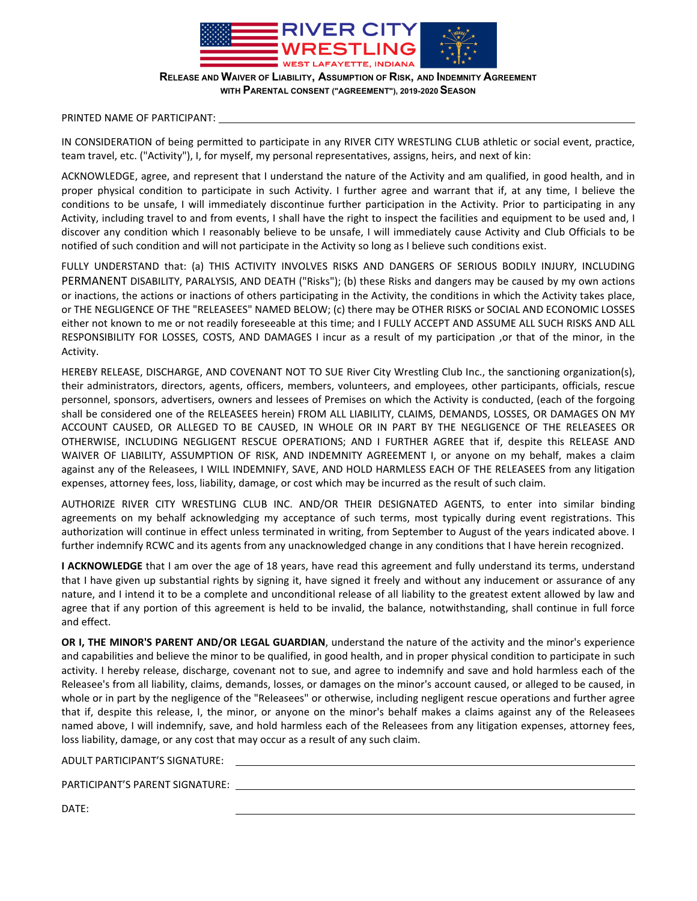

**RELEASE AND WAIVER OF LIABILITY, ASSUMPTION OF RISK, AND INDEMNITY AGREEMENT WITH PARENTAL CONSENT ("AGREEMENT"), 2019-2020 SEASON** 

### PRINTED NAME OF PARTICIPANT:

IN CONSIDERATION of being permitted to participate in any RIVER CITY WRESTLING CLUB athletic or social event, practice, team travel, etc. ("Activity"), I, for myself, my personal representatives, assigns, heirs, and next of kin:

ACKNOWLEDGE, agree, and represent that I understand the nature of the Activity and am qualified, in good health, and in proper physical condition to participate in such Activity. I further agree and warrant that if, at any time, I believe the conditions to be unsafe, I will immediately discontinue further participation in the Activity. Prior to participating in any Activity, including travel to and from events, I shall have the right to inspect the facilities and equipment to be used and, I discover any condition which I reasonably believe to be unsafe, I will immediately cause Activity and Club Officials to be notified of such condition and will not participate in the Activity so long as I believe such conditions exist.

FULLY UNDERSTAND that: (a) THIS ACTIVITY INVOLVES RISKS AND DANGERS OF SERIOUS BODILY INJURY, INCLUDING PERMANENT DISABILITY, PARALYSIS, AND DEATH ("Risks"); (b) these Risks and dangers may be caused by my own actions or inactions, the actions or inactions of others participating in the Activity, the conditions in which the Activity takes place, or THE NEGLIGENCE OF THE "RELEASEES" NAMED BELOW; (c) there may be OTHER RISKS or SOCIAL AND ECONOMIC LOSSES either not known to me or not readily foreseeable at this time; and I FULLY ACCEPT AND ASSUME ALL SUCH RISKS AND ALL RESPONSIBILITY FOR LOSSES, COSTS, AND DAMAGES I incur as a result of my participation ,or that of the minor, in the Activity.

HEREBY RELEASE, DISCHARGE, AND COVENANT NOT TO SUE River City Wrestling Club Inc., the sanctioning organization(s), their administrators, directors, agents, officers, members, volunteers, and employees, other participants, officials, rescue personnel, sponsors, advertisers, owners and lessees of Premises on which the Activity is conducted, (each of the forgoing shall be considered one of the RELEASEES herein) FROM ALL LIABILITY, CLAIMS, DEMANDS, LOSSES, OR DAMAGES ON MY ACCOUNT CAUSED, OR ALLEGED TO BE CAUSED, IN WHOLE OR IN PART BY THE NEGLIGENCE OF THE RELEASEES OR OTHERWISE, INCLUDING NEGLIGENT RESCUE OPERATIONS; AND I FURTHER AGREE that if, despite this RELEASE AND WAIVER OF LIABILITY, ASSUMPTION OF RISK, AND INDEMNITY AGREEMENT I, or anyone on my behalf, makes a claim against any of the Releasees, I WILL INDEMNIFY, SAVE, AND HOLD HARMLESS EACH OF THE RELEASEES from any litigation expenses, attorney fees, loss, liability, damage, or cost which may be incurred as the result of such claim.

AUTHORIZE RIVER CITY WRESTLING CLUB INC. AND/OR THEIR DESIGNATED AGENTS, to enter into similar binding agreements on my behalf acknowledging my acceptance of such terms, most typically during event registrations. This authorization will continue in effect unless terminated in writing, from September to August of the years indicated above. I further indemnify RCWC and its agents from any unacknowledged change in any conditions that I have herein recognized.

**I ACKNOWLEDGE** that I am over the age of 18 years, have read this agreement and fully understand its terms, understand that I have given up substantial rights by signing it, have signed it freely and without any inducement or assurance of any nature, and I intend it to be a complete and unconditional release of all liability to the greatest extent allowed by law and agree that if any portion of this agreement is held to be invalid, the balance, notwithstanding, shall continue in full force and effect.

**OR I, THE MINOR'S PARENT AND/OR LEGAL GUARDIAN**, understand the nature of the activity and the minor's experience and capabilities and believe the minor to be qualified, in good health, and in proper physical condition to participate in such activity. I hereby release, discharge, covenant not to sue, and agree to indemnify and save and hold harmless each of the Releasee's from all liability, claims, demands, losses, or damages on the minor's account caused, or alleged to be caused, in whole or in part by the negligence of the "Releasees" or otherwise, including negligent rescue operations and further agree that if, despite this release, I, the minor, or anyone on the minor's behalf makes a claims against any of the Releasees named above, I will indemnify, save, and hold harmless each of the Releasees from any litigation expenses, attorney fees, loss liability, damage, or any cost that may occur as a result of any such claim.

ADULT PARTICIPANT'S SIGNATURE:

PARTICIPANT'S PARENT SIGNATURE:

DATE: